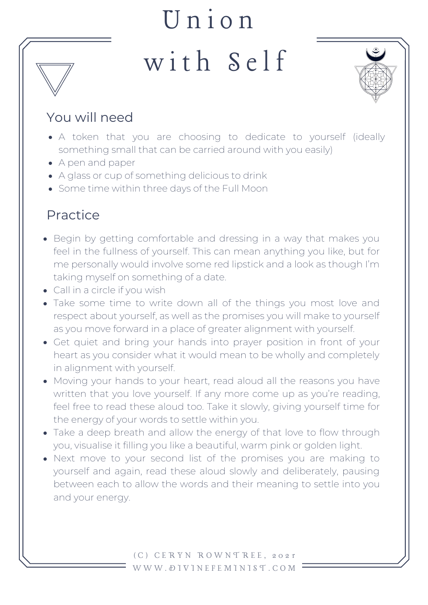## U n i o n with Self



## You will need

- A token that you are choosing to dedicate to yourself (ideally something small that can be carried around with you easily)
- A pen and paper
- A glass or cup of something delicious to drink
- Some time within three days of the Full Moon

## Practice

- Begin by getting comfortable and dressing in a way that makes you feel in the fullness of yourself. This can mean anything you like, but for me personally would involve some red lipstick and a look as though I'm taking myself on something of a date.
- Call in a circle if you wish
- Take some time to write down all of the things you most love and respect about yourself, as well as the promises you will make to yourself as you move forward in a place of greater alignment with yourself.
- Get quiet and bring your hands into prayer position in front of your heart as you consider what it would mean to be wholly and completely in alignment with yourself.
- Moving your hands to your heart, read aloud all the reasons you have written that you love yourself. If any more come up as you're reading, feel free to read these aloud too. Take it slowly, giving yourself time for the energy of your words to settle within you.
- Take a deep breath and allow the energy of that love to flow through you, visualise it filling you like a beautiful, warm pink or golden light.
- Next move to your second list of the promises you are making to yourself and again, read these aloud slowly and deliberately, pausing between each to allow the words and their meaning to settle into you and your energy.